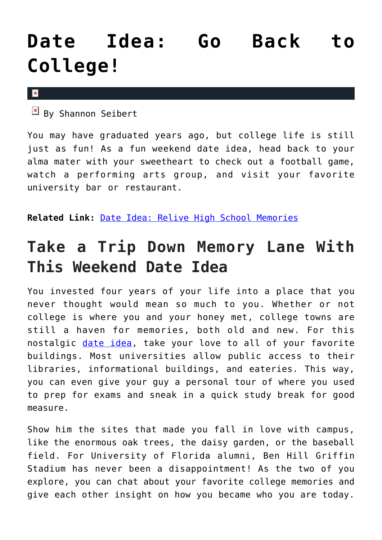## **[Date Idea: Go Back to](https://cupidspulse.com/75392/romantic-date-idea-go-to-college/) [College!](https://cupidspulse.com/75392/romantic-date-idea-go-to-college/)**

 $\mathbf x$ 

 $\mathbb{F}$  By Shannon Seibert

You may have graduated years ago, but college life is still just as fun! As a fun weekend date idea, head back to your alma mater with your sweetheart to check out a football game, watch a performing arts group, and visit your favorite university bar or restaurant.

**Related Link:** [Date Idea: Relive High School Memories](http://www.cupidspulse.com/date-idea-high-school-memories-teenage-football/)

## **Take a Trip Down Memory Lane With This Weekend Date Idea**

You invested four years of your life into a place that you never thought would mean so much to you. Whether or not college is where you and your honey met, college towns are still a haven for memories, both old and new. For this nostalgic [date idea,](http://cupidspulse.com/dating/date-ideas/) take your love to all of your favorite buildings. Most universities allow public access to their libraries, informational buildings, and eateries. This way, you can even give your guy a personal tour of where you used to prep for exams and sneak in a quick study break for good measure.

Show him the sites that made you fall in love with campus, like the enormous oak trees, the daisy garden, or the baseball field. For University of Florida alumni, Ben Hill Griffin Stadium has never been a disappointment! As the two of you explore, you can chat about your favorite college memories and give each other insight on how you became who you are today.